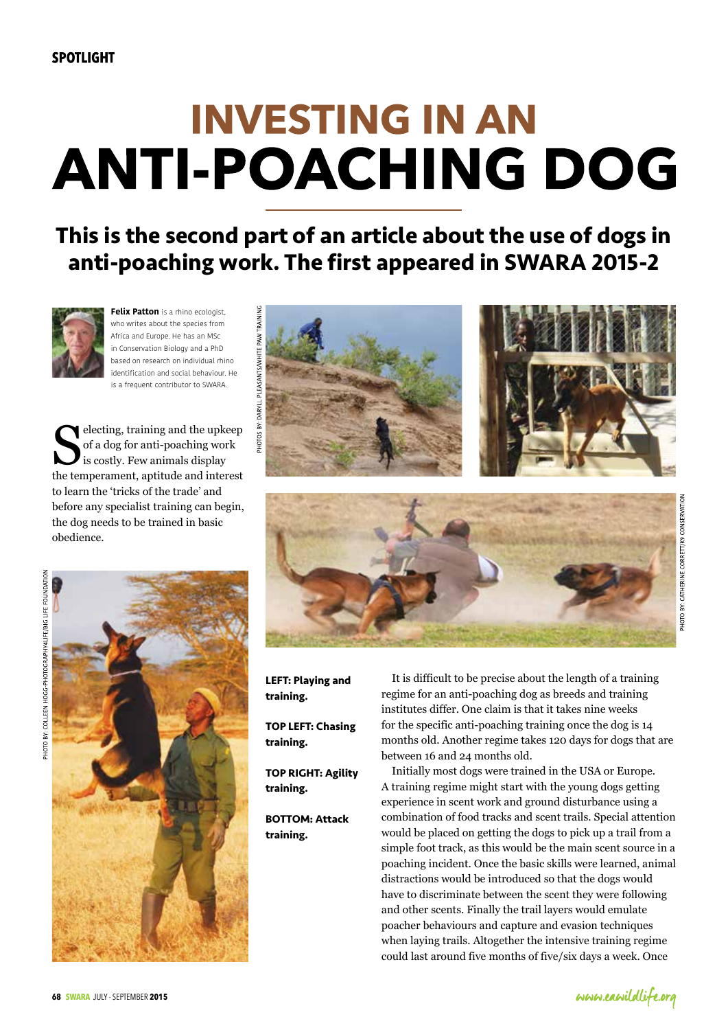# **INVESTING IN AN ANTI-POACHING DOG**

**This is the second part of an article about the use of dogs in anti-poaching work. The first appeared in SWARA 2015-2**



**Felix Patton** is a rhino ecologist, who writes about the species from Africa and Europe. He has an MSc in Conservation Biology and a PhD based on research on individual rhino identification and social behaviour. He is a frequent contributor to SWARA.

selecting, training and the upkeep of a dog for anti-poaching work is costly. Few animals display the temperament, aptitude and interest to learn the 'tricks of the trade' and before any specialist training can begin, the dog needs to be trained in basic obedience.





**LEFT: Playing and training.**

**TOP LEFT: Chasing training.**

**TOP RIGHT: Agility training.**

**BOTTOM: Attack training.**

It is difficult to be precise about the length of a training regime for an anti-poaching dog as breeds and training institutes differ. One claim is that it takes nine weeks for the specific anti-poaching training once the dog is 14 months old. Another regime takes 120 days for dogs that are between 16 and 24 months old.

Initially most dogs were trained in the USA or Europe. A training regime might start with the young dogs getting experience in scent work and ground disturbance using a combination of food tracks and scent trails. Special attention would be placed on getting the dogs to pick up a trail from a simple foot track, as this would be the main scent source in a poaching incident. Once the basic skills were learned, animal distractions would be introduced so that the dogs would have to discriminate between the scent they were following and other scents. Finally the trail layers would emulate poacher behaviours and capture and evasion techniques when laying trails. Altogether the intensive training regime could last around five months of five/six days a week. Once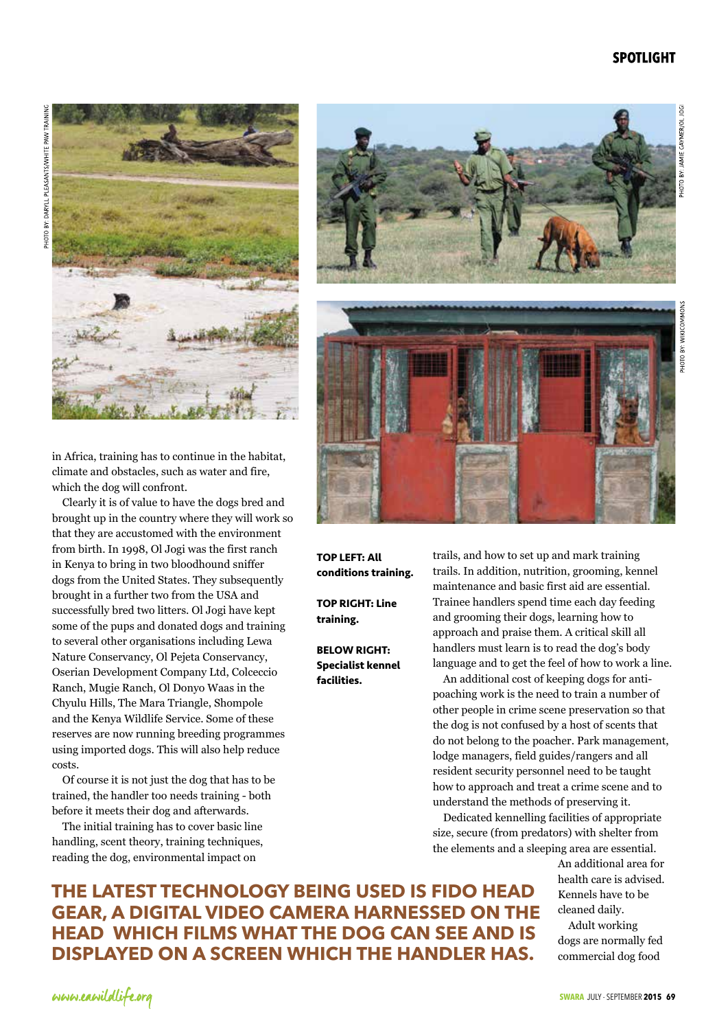## **SPOTLIGHT**



in Africa, training has to continue in the habitat, climate and obstacles, such as water and fire, which the dog will confront.

Clearly it is of value to have the dogs bred and brought up in the country where they will work so that they are accustomed with the environment from birth. In 1998, Ol Jogi was the first ranch in Kenya to bring in two bloodhound sniffer dogs from the United States. They subsequently brought in a further two from the USA and successfully bred two litters. Ol Jogi have kept some of the pups and donated dogs and training to several other organisations including Lewa Nature Conservancy, Ol Pejeta Conservancy, Oserian Development Company Ltd, Colceccio Ranch, Mugie Ranch, Ol Donyo Waas in the Chyulu Hills, The Mara Triangle, Shompole and the Kenya Wildlife Service. Some of these reserves are now running breeding programmes using imported dogs. This will also help reduce costs.

Of course it is not just the dog that has to be trained, the handler too needs training - both before it meets their dog and afterwards.

The initial training has to cover basic line handling, scent theory, training techniques, reading the dog, environmental impact on







**TOP LEFT: All conditions training.**

**TOP RIGHT: Line training.**

**BELOW RIGHT: Specialist kennel facilities.**

trails, and how to set up and mark training trails. In addition, nutrition, grooming, kennel maintenance and basic first aid are essential. Trainee handlers spend time each day feeding and grooming their dogs, learning how to approach and praise them. A critical skill all handlers must learn is to read the dog's body language and to get the feel of how to work a line.

An additional cost of keeping dogs for antipoaching work is the need to train a number of other people in crime scene preservation so that the dog is not confused by a host of scents that do not belong to the poacher. Park management, lodge managers, field guides/rangers and all resident security personnel need to be taught how to approach and treat a crime scene and to understand the methods of preserving it.

Dedicated kennelling facilities of appropriate size, secure (from predators) with shelter from the elements and a sleeping area are essential.

> An additional area for health care is advised. Kennels have to be cleaned daily.

Adult working dogs are normally fed commercial dog food

**The latest technology being used is FIDO head gear, a digital video camera harnessed on the head which films what the dog can see and is displayed on a screen which the handler has.**

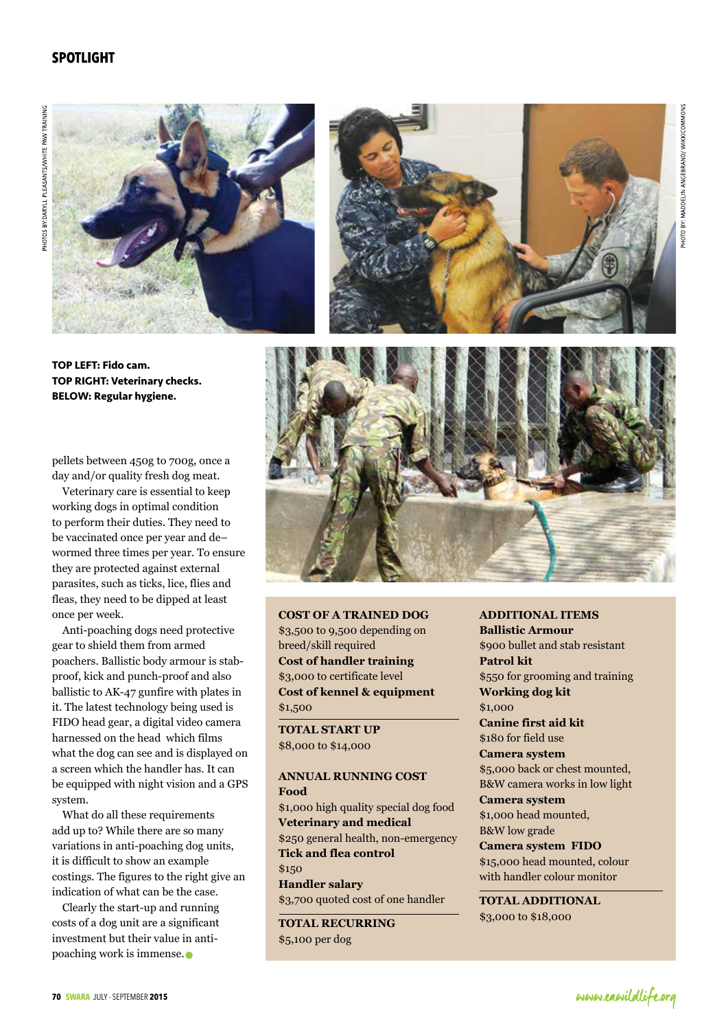# **SPOTLIGHT**









pellets between 450g to 700g, once a day and/or quality fresh dog meat.

Veterinary care is essential to keep working dogs in optimal condition to perform their duties. They need to be vaccinated once per year and de– wormed three times per year. To ensure they are protected against external parasites, such as ticks, lice, flies and fleas, they need to be dipped at least once per week.

Anti-poaching dogs need protective gear to shield them from armed poachers. Ballistic body armour is stabproof, kick and punch-proof and also ballistic to AK-47 gunfire with plates in it. The latest technology being used is FIDO head gear, a digital video camera harnessed on the head which films what the dog can see and is displayed on a screen which the handler has. It can be equipped with night vision and a GPS system.

What do all these requirements add up to? While there are so many variations in anti-poaching dog units, it is difficult to show an example costings. The figures to the right give an indication of what can be the case.

Clearly the start-up and running costs of a dog unit are a significant investment but their value in antipoaching work is immense.

#### **Cost of a trained dog** \$3,500 to 9,500 depending on

breed/skill required **Cost of handler training** \$3,000 to certificate level **Cost of kennel & equipment** \$1,500

**TOTAL START UP** \$8,000 to \$14,000

#### **Annual running cost Food**

\$1,000 high quality special dog food **Veterinary and medical** \$250 general health, non-emergency **Tick and flea control** \$150 **Handler salary**

\$3,700 quoted cost of one handler **TOTAL RECURRING**

\$5,100 per dog

#### **Additional items**

**Ballistic Armour** \$900 bullet and stab resistant **Patrol kit** \$550 for grooming and training **Working dog kit** \$1,000 **Canine first aid kit**

\$180 for field use **Camera system**

\$5,000 back or chest mounted, B&W camera works in low light

**Camera system** \$1,000 head mounted, B&W low grade

#### **Camera system FIDO**

\$15,000 head mounted, colour with handler colour monitor

**TOTAL ADDITIONAL** \$3,000 to \$18,000

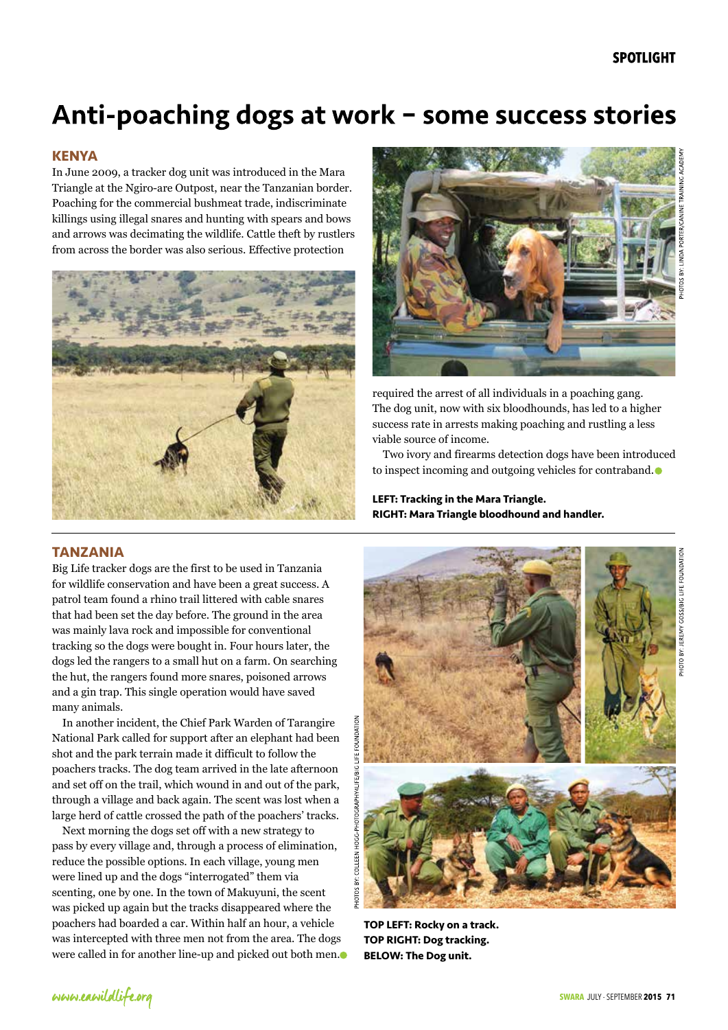# Anti-poaching dogs at work - some success stories

# **KENYA**

In June 2009, a tracker dog unit was introduced in the Mara Triangle at the Ngiro-are Outpost, near the Tanzanian border. Poaching for the commercial bushmeat trade, indiscriminate killings using illegal snares and hunting with spears and bows and arrows was decimating the wildlife. Cattle theft by rustlers from across the border was also serious. Effective protection





required the arrest of all individuals in a poaching gang. The dog unit, now with six bloodhounds, has led to a higher success rate in arrests making poaching and rustling a less viable source of income.

Two ivory and firearms detection dogs have been introduced to inspect incoming and outgoing vehicles for contraband.

**LEFT: Tracking in the Mara Triangle. RIGHT: Mara Triangle bloodhound and handler.**

### **TANZANIA**

Big Life tracker dogs are the first to be used in Tanzania for wildlife conservation and have been a great success. A patrol team found a rhino trail littered with cable snares that had been set the day before. The ground in the area was mainly lava rock and impossible for conventional tracking so the dogs were bought in. Four hours later, the dogs led the rangers to a small hut on a farm. On searching the hut, the rangers found more snares, poisoned arrows and a gin trap. This single operation would have saved many animals.

In another incident, the Chief Park Warden of Tarangire National Park called for support after an elephant had been shot and the park terrain made it difficult to follow the poachers tracks. The dog team arrived in the late afternoon and set off on the trail, which wound in and out of the park, through a village and back again. The scent was lost when a large herd of cattle crossed the path of the poachers' tracks.

Next morning the dogs set off with a new strategy to pass by every village and, through a process of elimination, reduce the possible options. In each village, young men were lined up and the dogs "interrogated" them via scenting, one by one. In the town of Makuyuni, the scent was picked up again but the tracks disappeared where the poachers had boarded a car. Within half an hour, a vehicle was intercepted with three men not from the area. The dogs were called in for another line-up and picked out both men.



**TOP LEFT: Rocky on a track. TOP RIGHT: Dog tracking. BELOW: The Dog unit.**